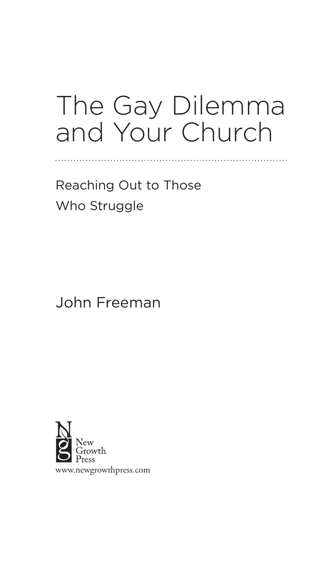## The Gay Dilemma and Your Church

Reaching Out to Those Who Struggle

John Freeman

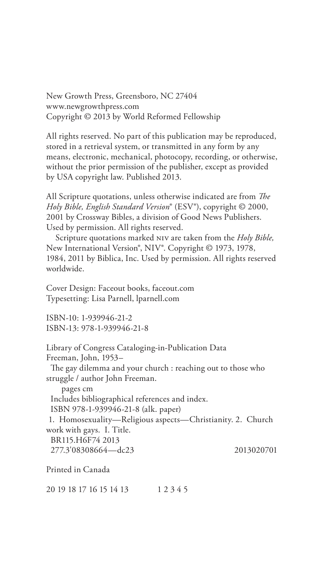New Growth Press, Greensboro, NC 27404 www.newgrowthpress.com Copyright © 2013 by World Reformed Fellowship

All rights reserved. No part of this publication may be reproduced, stored in a retrieval system, or transmitted in any form by any means, electronic, mechanical, photocopy, recording, or otherwise, without the prior permission of the publisher, except as provided by USA copyright law. Published 2013.

All Scripture quotations, unless otherwise indicated are from *The Holy Bible, English Standard Version*® (ESV®), copyright © 2000, 2001 by Crossway Bibles, a division of Good News Publishers. Used by permission. All rights reserved.

Scripture quotations marked niv are taken from the *Holy Bible,*  New International Version®, NIV®. Copyright © 1973, 1978, 1984, 2011 by Biblica, Inc. Used by permission. All rights reserved worldwide.

Cover Design: Faceout books, faceout.com Typesetting: Lisa Parnell, lparnell.com

ISBN-10: 1-939946-21-2 ISBN-13: 978-1-939946-21-8

Library of Congress Cataloging-in-Publication Data Freeman, John, 1953– The gay dilemma and your church : reaching out to those who struggle / author John Freeman. pages cm Includes bibliographical references and index. ISBN 978-1-939946-21-8 (alk. paper) 1. Homosexuality—Religious aspects—Christianity. 2. Church work with gays. I. Title. BR115.H6F74 2013 277.3'08308664—dc23 2013020701

Printed in Canada

20 19 18 17 16 15 14 13 1 2 3 4 5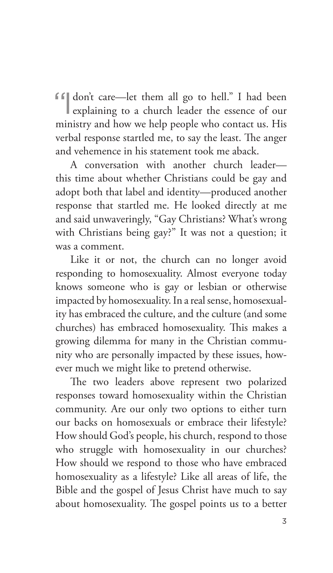ff don't care—let them all go to hell." I had been

explaining to a church leader the essence of our ministry and how we help people who contact us. His verbal response startled me, to say the least. The anger and vehemence in his statement took me aback.

A conversation with another church leader this time about whether Christians could be gay and adopt both that label and identity—produced another response that startled me. He looked directly at me and said unwaveringly, "Gay Christians? What's wrong with Christians being gay?" It was not a question; it was a comment.

Like it or not, the church can no longer avoid responding to homosexuality. Almost everyone today knows someone who is gay or lesbian or otherwise impacted by homosexuality. In a real sense, homosexuality has embraced the culture, and the culture (and some churches) has embraced homosexuality. This makes a growing dilemma for many in the Christian community who are personally impacted by these issues, however much we might like to pretend otherwise.

The two leaders above represent two polarized responses toward homosexuality within the Christian community. Are our only two options to either turn our backs on homosexuals or embrace their lifestyle? How should God's people, his church, respond to those who struggle with homosexuality in our churches? How should we respond to those who have embraced homosexuality as a lifestyle? Like all areas of life, the Bible and the gospel of Jesus Christ have much to say about homosexuality. The gospel points us to a better